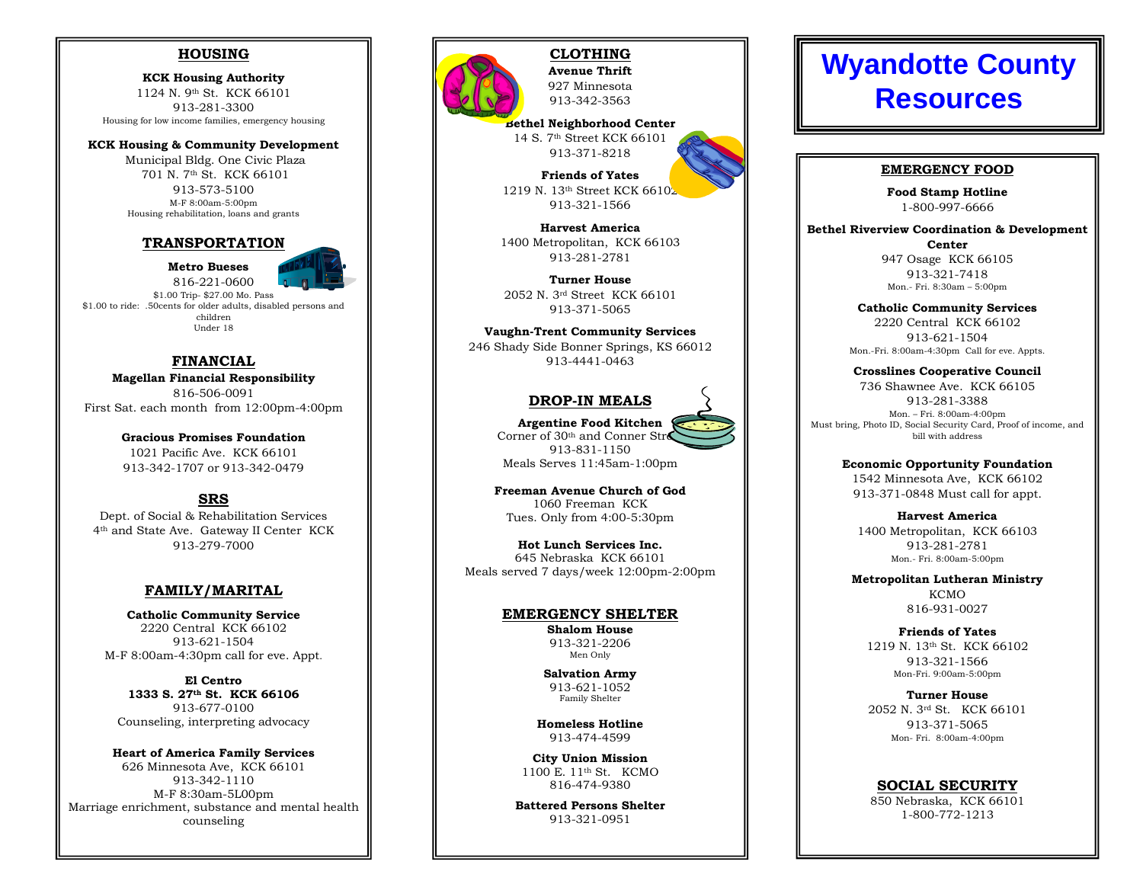# **HOUSING**

 KCK Housing Authority 1124 N. 9th St. KCK 66101 913-281-3300 Housing for low income families, emergency housing

KCK Housing & Community Development

 Municipal Bldg. One Civic Plaza 701 N. 7th St. KCK 66101 913-573-5100 M-F 8:00am-5:00pm Housing rehabilitation, loans and grants

### TRANSPORTATION

Metro Bueses

 816-221-0600 \$1.00 Trip- \$27.00 Mo. Pass \$1.00 to ride: .50cents for older adults, disabled persons and children Under 18

### FINANCIAL

 Magellan Financial Responsibility 816-506-0091 First Sat. each month from 12:00pm-4:00pm

> Gracious Promises Foundation 1021 Pacific Ave. KCK 66101 913-342-1707 or 913-342-0479

# SRS

 Dept. of Social & Rehabilitation Services 4th and State Ave. Gateway II Center KCK 913-279-7000

### FAMILY/MARITAL

Catholic Community Service 2220 Central KCK 66102 913-621-1504 M-F 8:00am-4:30pm call for eve. Appt.

El Centro 1333 S. 27th St. KCK 66106 913-677-0100 Counseling, interpreting advocacy

Heart of America Family Services 626 Minnesota Ave, KCK 66101 913-342-1110 M-F 8:30am-5L00pm Marriage enrichment, substance and mental health counseling



CLOTHING Avenue Thrift 927 Minnesota

913-342-3563 Bethel Neighborhood Center

14 S. 7th Street KCK 66101 913-371-8218

Friends of Yates 1219 N. 13<sup>th</sup> Street KCK 66102 913-321-1566

Harvest America 1400 Metropolitan, KCK 66103 913-281-2781

Turner House 2052 N. 3rd Street KCK 66101 913-371-5065

Vaughn-Trent Community Services 246 Shady Side Bonner Springs, KS 66012 913-4441-0463

# DROP-IN MEALS

 Argentine Food Kitchen Corner of  $30<sup>th</sup>$  and Conner Street 913-831-1150 Meals Serves 11:45am-1:00pm

Freeman Avenue Church of God 1060 Freeman KCK Tues. Only from 4:00-5:30pm

Hot Lunch Services Inc. 645 Nebraska KCK 66101 Meals served 7 days/week 12:00pm-2:00pm

### EMERGENCY SHELTER

Shalom House 913-321-2206 Men Only

Salvation Army 913-621-1052 Family Shelter

Homeless Hotline 913-474-4599

City Union Mission 1100 E. 11th St. KCMO 816-474-9380

Battered Persons Shelter 913-321-0951

# **Wyandotte County Resources**

### EMERGENCY FOOD

 Food Stamp Hotline 1-800-997-6666

Bethel Riverview Coordination & Development Center 947 Osage KCK 66105

913-321-7418 Mon.- Fri. 8:30am – 5:00pm

Catholic Community Services 2220 Central KCK 66102 913-621-1504 Mon.-Fri. 8:00am-4:30pm Call for eve. Appts.

Crosslines Cooperative Council 736 Shawnee Ave. KCK 66105 913-281-3388 Mon. – Fri. 8:00am-4:00pm Must bring, Photo ID, Social Security Card, Proof of income, and bill with address

> Economic Opportunity Foundation 1542 Minnesota Ave, KCK 66102 913-371-0848 Must call for appt.

Harvest America 1400 Metropolitan, KCK 66103 913-281-2781 Mon.- Fri. 8:00am-5:00pm

Metropolitan Lutheran Ministry **KCMO** 816-931-0027

Friends of Yates 1219 N. 13th St. KCK 66102 913-321-1566 Mon-Fri. 9:00am-5:00pm

Turner House 2052 N. 3rd St. KCK 66101 913-371-5065 Mon- Fri. 8:00am-4:00pm

### SOCIAL SECURITY

 850 Nebraska, KCK 66101 1-800-772-1213